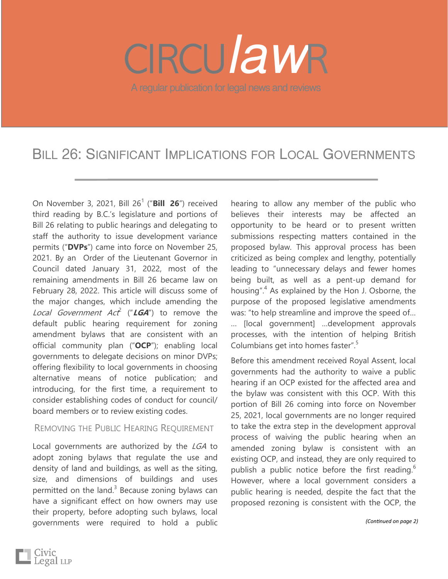# A regular publication for legal news and reviews *law*

# BILL 26: SIGNIFICANT IMPLICATIONS FOR LOCAL GOVERNMENTS

On November 3, 2021, Bill 26<sup>1</sup> ("Bill 26") received third reading by B.C.'s legislature and portions of Bill 26 relating to public hearings and delegating to staff the authority to issue development variance permits ("**DVPs**") came into force on November 25, 2021. By an Order of the Lieutenant Governor in Council dated January 31, 2022, most of the remaining amendments in Bill 26 became law on February 28, 2022. This article will discuss some of the major changes, which include amending the Local Government Act<sup>2</sup> ("**LGA**") to remove the default public hearing requirement for zoning amendment bylaws that are consistent with an official community plan ("**OCP**"); enabling local governments to delegate decisions on minor DVPs; offering flexibility to local governments in choosing alternative means of notice publication; and introducing, for the first time, a requirement to consider establishing codes of conduct for council/ board members or to review existing codes.

#### REMOVING THE PUBLIC HEARING REQUIREMENT

Local governments are authorized by the LGA to adopt zoning bylaws that regulate the use and density of land and buildings, as well as the siting, size, and dimensions of buildings and uses permitted on the land. $3$  Because zoning bylaws can have a significant effect on how owners may use their property, before adopting such bylaws, local governments were required to hold a public

hearing to allow any member of the public who believes their interests may be affected an opportunity to be heard or to present written submissions respecting matters contained in the proposed bylaw. This approval process has been criticized as being complex and lengthy, potentially leading to "unnecessary delays and fewer homes being built, as well as a pent-up demand for housing".<sup>4</sup> As explained by the Hon J. Osborne, the purpose of the proposed legislative amendments was: "to help streamline and improve the speed of… … [local government] …development approvals processes, with the intention of helping British Columbians get into homes faster".<sup>5</sup>

Before this amendment received Royal Assent, local governments had the authority to waive a public hearing if an OCP existed for the affected area and the bylaw was consistent with this OCP. With this portion of Bill 26 coming into force on November 25, 2021, local governments are no longer required to take the extra step in the development approval process of waiving the public hearing when an amended zoning bylaw is consistent with an existing OCP, and instead, they are only required to publish a public notice before the first reading.<sup>6</sup> However, where a local government considers a public hearing is needed, despite the fact that the proposed rezoning is consistent with the OCP, the

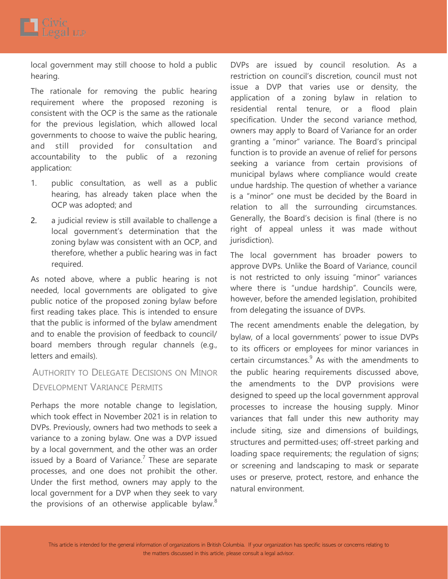

local government may still choose to hold a public hearing.

The rationale for removing the public hearing requirement where the proposed rezoning is consistent with the OCP is the same as the rationale for the previous legislation, which allowed local governments to choose to waive the public hearing, and still provided for consultation and accountability to the public of a rezoning application:

- 1. public consultation, as well as a public hearing, has already taken place when the OCP was adopted; and
- 2. a judicial review is still available to challenge a local government's determination that the zoning bylaw was consistent with an OCP, and therefore, whether a public hearing was in fact required.

As noted above, where a public hearing is not needed, local governments are obligated to give public notice of the proposed zoning bylaw before first reading takes place. This is intended to ensure that the public is informed of the bylaw amendment and to enable the provision of feedback to council/ board members through regular channels (e.g., letters and emails).

### AUTHORITY TO DELEGATE DECISIONS ON MINOR DEVELOPMENT VARIANCE PERMITS

Perhaps the more notable change to legislation, which took effect in November 2021 is in relation to DVPs. Previously, owners had two methods to seek a variance to a zoning bylaw. One was a DVP issued by a local government, and the other was an order issued by a Board of Variance.<sup>7</sup> These are separate processes, and one does not prohibit the other. Under the first method, owners may apply to the local government for a DVP when they seek to vary the provisions of an otherwise applicable bylaw.<sup>8</sup>

DVPs are issued by council resolution. As a restriction on council's discretion, council must not issue a DVP that varies use or density, the application of a zoning bylaw in relation to residential rental tenure, or a flood plain specification. Under the second variance method, owners may apply to Board of Variance for an order granting a "minor" variance. The Board's principal function is to provide an avenue of relief for persons seeking a variance from certain provisions of municipal bylaws where compliance would create undue hardship. The question of whether a variance is a "minor" one must be decided by the Board in relation to all the surrounding circumstances. Generally, the Board's decision is final (there is no right of appeal unless it was made without jurisdiction).

The local government has broader powers to approve DVPs. Unlike the Board of Variance, council is not restricted to only issuing "minor" variances where there is "undue hardship". Councils were, however, before the amended legislation, prohibited from delegating the issuance of DVPs.

The recent amendments enable the delegation, by bylaw, of a local governments' power to issue DVPs to its officers or employees for minor variances in certain circumstances. $9$  As with the amendments to the public hearing requirements discussed above, the amendments to the DVP provisions were designed to speed up the local government approval processes to increase the housing supply. Minor variances that fall under this new authority may include siting, size and dimensions of buildings, structures and permitted-uses; off-street parking and loading space requirements; the regulation of signs; or screening and landscaping to mask or separate uses or preserve, protect, restore, and enhance the natural environment.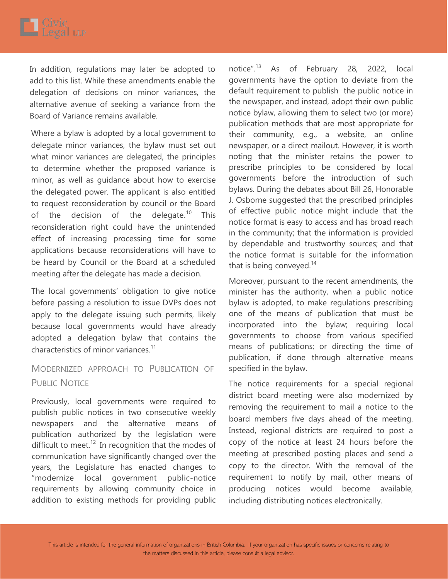In addition, regulations may later be adopted to add to this list. While these amendments enable the delegation of decisions on minor variances, the alternative avenue of seeking a variance from the Board of Variance remains available.

Where a bylaw is adopted by a local government to delegate minor variances, the bylaw must set out what minor variances are delegated, the principles to determine whether the proposed variance is minor, as well as guidance about how to exercise the delegated power. The applicant is also entitled to request reconsideration by council or the Board of the decision of the delegate.<sup>10</sup> This reconsideration right could have the unintended effect of increasing processing time for some applications because reconsiderations will have to be heard by Council or the Board at a scheduled meeting after the delegate has made a decision.

The local governments' obligation to give notice before passing a resolution to issue DVPs does not apply to the delegate issuing such permits, likely because local governments would have already adopted a delegation bylaw that contains the characteristics of minor variances.<sup>11</sup>

## MODERNIZED APPROACH TO PUBLICATION OF PUBLIC NOTICE

Previously, local governments were required to publish public notices in two consecutive weekly newspapers and the alternative means of publication authorized by the legislation were difficult to meet.<sup>12</sup> In recognition that the modes of communication have significantly changed over the years, the Legislature has enacted changes to "modernize local government public-notice requirements by allowing community choice in addition to existing methods for providing public notice".<sup>13</sup> As of February 28, 2022, local governments have the option to deviate from the default requirement to publish the public notice in the newspaper, and instead, adopt their own public notice bylaw, allowing them to select two (or more) publication methods that are most appropriate for their community, e.g., a website, an online newspaper, or a direct mailout. However, it is worth noting that the minister retains the power to prescribe principles to be considered by local governments before the introduction of such bylaws. During the debates about Bill 26, Honorable J. Osborne suggested that the prescribed principles of effective public notice might include that the notice format is easy to access and has broad reach in the community; that the information is provided by dependable and trustworthy sources; and that the notice format is suitable for the information that is being conveyed. $14$ 

Moreover, pursuant to the recent amendments, the minister has the authority, when a public notice bylaw is adopted, to make regulations prescribing one of the means of publication that must be incorporated into the bylaw; requiring local governments to choose from various specified means of publications; or directing the time of publication, if done through alternative means specified in the bylaw.

The notice requirements for a special regional district board meeting were also modernized by removing the requirement to mail a notice to the board members five days ahead of the meeting. Instead, regional districts are required to post a copy of the notice at least 24 hours before the meeting at prescribed posting places and send a copy to the director. With the removal of the requirement to notify by mail, other means of producing notices would become available, including distributing notices electronically.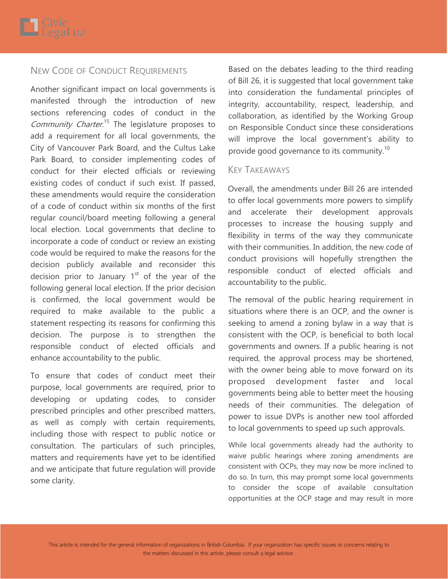#### NEW CODE OF CONDUCT REQUIREMENTS

Another significant impact on local governments is manifested through the introduction of new sections referencing codes of conduct in the Community Charter.<sup>15</sup> The legislature proposes to add a requirement for all local governments, the City of Vancouver Park Board, and the Cultus Lake Park Board, to consider implementing codes of conduct for their elected officials or reviewing existing codes of conduct if such exist. If passed, these amendments would require the consideration of a code of conduct within six months of the first regular council/board meeting following a general local election. Local governments that decline to incorporate a code of conduct or review an existing code would be required to make the reasons for the decision publicly available and reconsider this decision prior to January  $1<sup>st</sup>$  of the year of the following general local election. If the prior decision is confirmed, the local government would be required to make available to the public a statement respecting its reasons for confirming this decision. The purpose is to strengthen the responsible conduct of elected officials and enhance accountability to the public.

To ensure that codes of conduct meet their purpose, local governments are required, prior to developing or updating codes, to consider prescribed principles and other prescribed matters, as well as comply with certain requirements, including those with respect to public notice or consultation. The particulars of such principles, matters and requirements have yet to be identified and we anticipate that future regulation will provide some clarity.

Based on the debates leading to the third reading of Bill 26, it is suggested that local government take into consideration the fundamental principles of integrity, accountability, respect, leadership, and collaboration, as identified by the Working Group on Responsible Conduct since these considerations will improve the local government's ability to provide good governance to its community.<sup>10</sup>

#### KEY TAKEAWAYS

Overall, the amendments under Bill 26 are intended to offer local governments more powers to simplify and accelerate their development approvals processes to increase the housing supply and flexibility in terms of the way they communicate with their communities. In addition, the new code of conduct provisions will hopefully strengthen the responsible conduct of elected officials and accountability to the public.

The removal of the public hearing requirement in situations where there is an OCP, and the owner is seeking to amend a zoning bylaw in a way that is consistent with the OCP, is beneficial to both local governments and owners. If a public hearing is not required, the approval process may be shortened, with the owner being able to move forward on its proposed development faster and local governments being able to better meet the housing needs of their communities. The delegation of power to issue DVPs is another new tool afforded to local governments to speed up such approvals.

While local governments already had the authority to waive public hearings where zoning amendments are consistent with OCPs, they may now be more inclined to do so. In turn, this may prompt some local governments to consider the scope of available consultation opportunities at the OCP stage and may result in more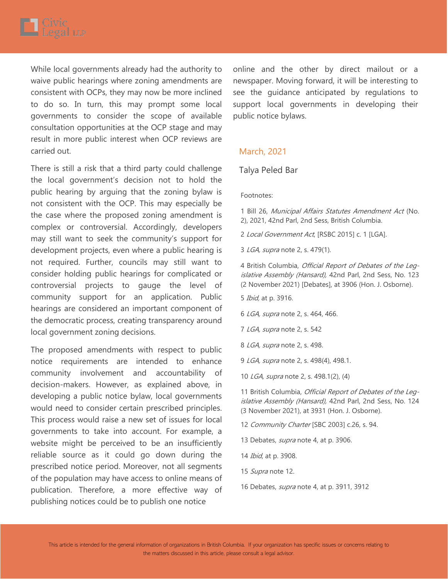

While local governments already had the authority to waive public hearings where zoning amendments are consistent with OCPs, they may now be more inclined to do so. In turn, this may prompt some local governments to consider the scope of available consultation opportunities at the OCP stage and may result in more public interest when OCP reviews are carried out.

There is still a risk that a third party could challenge the local government's decision not to hold the public hearing by arguing that the zoning bylaw is not consistent with the OCP. This may especially be the case where the proposed zoning amendment is complex or controversial. Accordingly, developers may still want to seek the community's support for development projects, even where a public hearing is not required. Further, councils may still want to consider holding public hearings for complicated or controversial projects to gauge the level of community support for an application. Public hearings are considered an important component of the democratic process, creating transparency around local government zoning decisions.

The proposed amendments with respect to public notice requirements are intended to enhance community involvement and accountability of decision-makers. However, as explained above, in developing a public notice bylaw, local governments would need to consider certain prescribed principles. This process would raise a new set of issues for local governments to take into account. For example, a website might be perceived to be an insufficiently reliable source as it could go down during the prescribed notice period. Moreover, not all segments of the population may have access to online means of publication. Therefore, a more effective way of publishing notices could be to publish one notice

online and the other by direct mailout or a newspaper. Moving forward, it will be interesting to see the guidance anticipated by regulations to support local governments in developing their public notice bylaws.

#### March, 2021

#### Talya Peled Bar

#### Footnotes:

1 Bill 26, Municipal Affairs Statutes Amendment Act (No. 2), 2021, 42nd Parl, 2nd Sess, British Columbia.

2 Local Government Act, [RSBC 2015] c. 1 [LGA].

3 LGA, supra note 2, s. 479(1).

4 British Columbia, Official Report of Debates of the Legislative Assembly (Hansard), 42nd Parl, 2nd Sess, No. 123 (2 November 2021) [Debates], at 3906 (Hon. J. Osborne).

- 5 Ibid, at p. 3916.
- 6 LGA, supra note 2, s. 464, 466.
- 7 LGA, supra note 2, s. 542
- 8 *LGA, supra* note 2, s. 498.

9 LGA, supra note 2, s. 498(4), 498.1.

10 LGA, supra note 2, s. 498.1(2), (4)

11 British Columbia, Official Report of Debates of the Legislative Assembly (Hansard), 42nd Parl, 2nd Sess, No. 124 (3 November 2021), at 3931 (Hon. J. Osborne).

- 12 Community Charter [SBC 2003] c.26, s. 94.
- 13 Debates, supra note 4, at p. 3906.
- 14 *Ibid*, at p. 3908.
- 15 Supra note 12.
- 16 Debates, supra note 4, at p. 3911, 3912